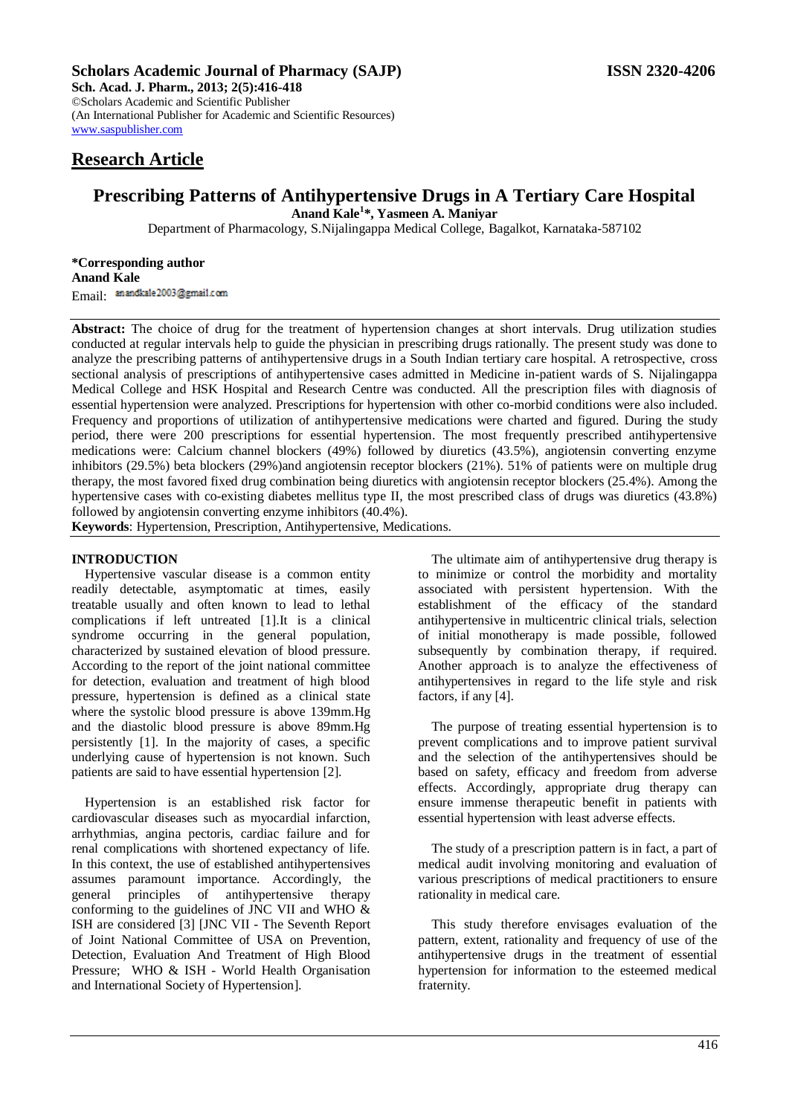# **Scholars Academic Journal of Pharmacy (SAJP) ISSN 2320-4206**

**Sch. Acad. J. Pharm., 2013; 2(5):416-418** ©Scholars Academic and Scientific Publisher (An International Publisher for Academic and Scientific Resources) [www.saspublisher.com](http://www.saspublisher.com/) 

# **Research Article**

# **Prescribing Patterns of Antihypertensive Drugs in A Tertiary Care Hospital**

**Anand Kale<sup>1</sup> \*, Yasmeen A. Maniyar**

Department of Pharmacology, S.Nijalingappa Medical College, Bagalkot, Karnataka-587102

**\*Corresponding author Anand Kale** Email: anandkale2003@gmail.com

**Abstract:** The choice of drug for the treatment of hypertension changes at short intervals. Drug utilization studies conducted at regular intervals help to guide the physician in prescribing drugs rationally. The present study was done to analyze the prescribing patterns of antihypertensive drugs in a South Indian tertiary care hospital. A retrospective, cross sectional analysis of prescriptions of antihypertensive cases admitted in Medicine in-patient wards of S. Nijalingappa Medical College and HSK Hospital and Research Centre was conducted. All the prescription files with diagnosis of essential hypertension were analyzed. Prescriptions for hypertension with other co-morbid conditions were also included. Frequency and proportions of utilization of antihypertensive medications were charted and figured. During the study period, there were 200 prescriptions for essential hypertension. The most frequently prescribed antihypertensive medications were: Calcium channel blockers (49%) followed by diuretics (43.5%), angiotensin converting enzyme inhibitors (29.5%) beta blockers (29%)and angiotensin receptor blockers (21%). 51% of patients were on multiple drug therapy, the most favored fixed drug combination being diuretics with angiotensin receptor blockers (25.4%). Among the hypertensive cases with co-existing diabetes mellitus type II, the most prescribed class of drugs was diuretics (43.8%) followed by angiotensin converting enzyme inhibitors (40.4%).

**Keywords**: Hypertension, Prescription, Antihypertensive, Medications.

## **INTRODUCTION**

Hypertensive vascular disease is a common entity readily detectable, asymptomatic at times, easily treatable usually and often known to lead to lethal complications if left untreated [1].It is a clinical syndrome occurring in the general population, characterized by sustained elevation of blood pressure. According to the report of the joint national committee for detection, evaluation and treatment of high blood pressure, hypertension is defined as a clinical state where the systolic blood pressure is above 139mm.Hg and the diastolic blood pressure is above 89mm.Hg persistently [1]. In the majority of cases, a specific underlying cause of hypertension is not known. Such patients are said to have essential hypertension [2].

Hypertension is an established risk factor for cardiovascular diseases such as myocardial infarction, arrhythmias, angina pectoris, cardiac failure and for renal complications with shortened expectancy of life. In this context, the use of established antihypertensives assumes paramount importance. Accordingly, the general principles of antihypertensive therapy conforming to the guidelines of JNC VII and WHO & ISH are considered [3] [JNC VII - The Seventh Report of Joint National Committee of USA on Prevention, Detection, Evaluation And Treatment of High Blood Pressure; WHO & ISH - World Health Organisation and International Society of Hypertension].

The ultimate aim of antihypertensive drug therapy is to minimize or control the morbidity and mortality associated with persistent hypertension. With the establishment of the efficacy of the standard antihypertensive in multicentric clinical trials, selection of initial monotherapy is made possible, followed subsequently by combination therapy, if required. Another approach is to analyze the effectiveness of antihypertensives in regard to the life style and risk factors, if any [4].

The purpose of treating essential hypertension is to prevent complications and to improve patient survival and the selection of the antihypertensives should be based on safety, efficacy and freedom from adverse effects. Accordingly, appropriate drug therapy can ensure immense therapeutic benefit in patients with essential hypertension with least adverse effects.

The study of a prescription pattern is in fact, a part of medical audit involving monitoring and evaluation of various prescriptions of medical practitioners to ensure rationality in medical care.

This study therefore envisages evaluation of the pattern, extent, rationality and frequency of use of the antihypertensive drugs in the treatment of essential hypertension for information to the esteemed medical fraternity.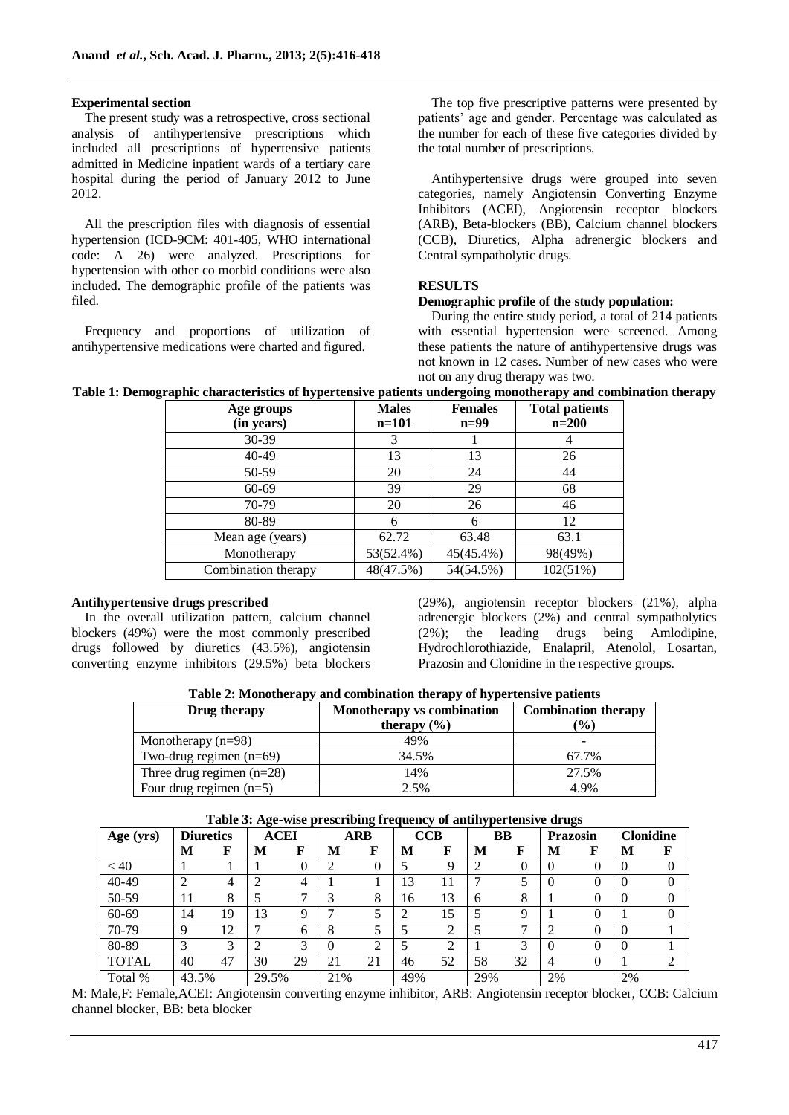### **Experimental section**

The present study was a retrospective, cross sectional analysis of antihypertensive prescriptions which included all prescriptions of hypertensive patients admitted in Medicine inpatient wards of a tertiary care hospital during the period of January 2012 to June 2012.

All the prescription files with diagnosis of essential hypertension (ICD-9CM: 401-405, WHO international code: A 26) were analyzed. Prescriptions for hypertension with other co morbid conditions were also included. The demographic profile of the patients was filed.

Frequency and proportions of utilization of antihypertensive medications were charted and figured.

The top five prescriptive patterns were presented by patients' age and gender. Percentage was calculated as the number for each of these five categories divided by the total number of prescriptions.

Antihypertensive drugs were grouped into seven categories, namely Angiotensin Converting Enzyme Inhibitors (ACEI), Angiotensin receptor blockers (ARB), Beta-blockers (BB), Calcium channel blockers (CCB), Diuretics, Alpha adrenergic blockers and Central sympatholytic drugs.

## **RESULTS**

## **Demographic profile of the study population:**

During the entire study period, a total of 214 patients with essential hypertension were screened. Among these patients the nature of antihypertensive drugs was not known in 12 cases. Number of new cases who were not on any drug therapy was two.

| Table 1: Demographic characteristics of hypertensive patients undergoing monotherapy and combination therapy |  |  |  |
|--------------------------------------------------------------------------------------------------------------|--|--|--|
|--------------------------------------------------------------------------------------------------------------|--|--|--|

| Age groups<br>(in years) | <b>Males</b><br>$n = 101$ | <b>Females</b><br>$n=99$ | <b>Total patients</b><br>$n=200$ |
|--------------------------|---------------------------|--------------------------|----------------------------------|
| $30-39$                  |                           |                          |                                  |
| 40-49                    | 13                        | 13                       | 26                               |
| 50-59                    | 20                        | 24                       | 44                               |
| 60-69                    | 39                        | 29                       | 68                               |
| 70-79                    | 20                        | 26                       | 46                               |
| 80-89                    |                           | 6                        | 12                               |
| Mean age (years)         | 62.72                     | 63.48                    | 63.1                             |
| Monotherapy              | 53(52.4%)                 | 45(45.4%)                | 98(49%)                          |
| Combination therapy      | 48(47.5%)                 | 54(54.5%)                | 102(51%)                         |

# **Antihypertensive drugs prescribed**

In the overall utilization pattern, calcium channel blockers (49%) were the most commonly prescribed drugs followed by diuretics (43.5%), angiotensin converting enzyme inhibitors (29.5%) beta blockers

(29%), angiotensin receptor blockers (21%), alpha adrenergic blockers (2%) and central sympatholytics (2%); the leading drugs being Amlodipine, Hydrochlorothiazide, Enalapril, Atenolol, Losartan, Prazosin and Clonidine in the respective groups.

| Table 2: Monotherapy and combination therapy of hypertensive patients |                                   |                            |  |  |  |  |  |  |
|-----------------------------------------------------------------------|-----------------------------------|----------------------------|--|--|--|--|--|--|
| Drug therapy                                                          | <b>Monotherapy vs combination</b> | <b>Combination therapy</b> |  |  |  |  |  |  |
|                                                                       | therapy $(\% )$                   | $($ %)                     |  |  |  |  |  |  |

|                             | therapy $(\% )$ | $\frac{9}{0}$ |
|-----------------------------|-----------------|---------------|
| Monotherapy $(n=98)$        | 49%             |               |
| Two-drug regimen $(n=69)$   | 34.5%           | 67.7%         |
| Three drug regimen $(n=28)$ | 14%             | 27.5%         |
| Four drug regimen $(n=5)$   | 2.5%            | 4.9%          |

| Table 3: Age-wise prescribing frequency of antihypertensive drugs |  |  |
|-------------------------------------------------------------------|--|--|
|                                                                   |  |  |

|              |                  |    | $\circ$<br>$\bullet$ |    |            | $\overline{\phantom{a}}$<br>~ ⊥ |            |        |           | $\bullet$ |          |   |                  |          |
|--------------|------------------|----|----------------------|----|------------|---------------------------------|------------|--------|-----------|-----------|----------|---|------------------|----------|
| Age (yrs)    | <b>Diuretics</b> |    | <b>ACEI</b>          |    | <b>ARB</b> |                                 | <b>CCB</b> |        | <b>BB</b> |           | Prazosin |   | <b>Clonidine</b> |          |
|              | M                | F  | M                    | F  | M          | F                               | M          | F      | M         | F         | М        | F | M                | F        |
| < 40         |                  |    |                      | 0  |            | 0                               |            | 9      | ∍         | 0         | 0        |   | $\left($         | $\Omega$ |
| 40-49        | ◠<br>∠           | 4  | ◠                    | 4  |            |                                 | 13         | 11     | ⇁         | 5         | $\theta$ |   | $\left($         |          |
| 50-59        | 11               | 8  |                      | −  |            | 8                               | 16         | 13     | 6         | 8         |          |   | $\theta$         | $\theta$ |
| 60-69        | 14               | 19 | 13                   | 9  |            |                                 | ◠<br>∠     | 15     |           | 9         |          |   |                  | 0        |
| 70-79        | 9                | 12 |                      | 6  | 8          |                                 |            | ◠      |           | ⇁         |          |   |                  |          |
| 80-89        | 3                | 3  | ∍                    | 3  |            | ◠<br>$\overline{ }$             |            | ↑<br>∠ |           | 3         | $\theta$ |   | $\theta$         |          |
| <b>TOTAL</b> | 40               | 47 | 30                   | 29 | 21         | 21                              | 46         | 52     | 58        | 32        | 4        |   |                  | ◠        |
| Total %      | 43.5%            |    | 29.5%                |    | 21%        |                                 | 49%        |        | 29%       |           | 2%       |   | 2%               |          |

M: Male,F: Female,ACEI: Angiotensin converting enzyme inhibitor, ARB: Angiotensin receptor blocker, CCB: Calcium channel blocker, BB: beta blocker